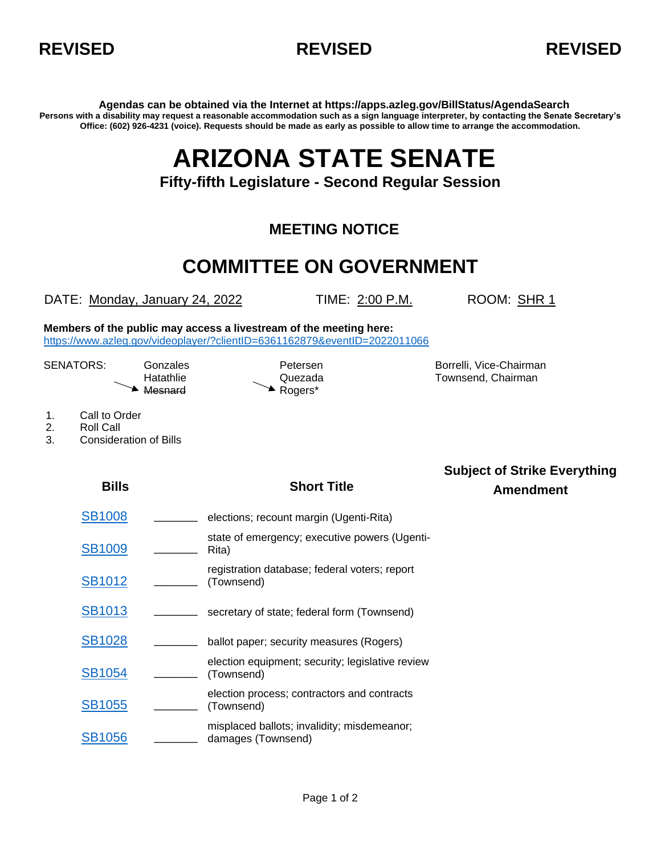



**Agendas can be obtained via the Internet at https://apps.azleg.gov/BillStatus/AgendaSearch Persons with a disability may request a reasonable accommodation such as a sign language interpreter, by contacting the Senate Secretary's Office: (602) 926-4231 (voice). Requests should be made as early as possible to allow time to arrange the accommodation.**

## **ARIZONA STATE SENATE**

**Fifty-fifth Legislature - Second Regular Session**

## **MEETING NOTICE**

## **COMMITTEE ON GOVERNMENT**

DATE: Monday, January 24, 2022 TIME: 2:00 P.M. ROOM: SHR 1

**Members of the public may access a livestream of the meeting here:**  <https://www.azleg.gov/videoplayer/?clientID=6361162879&eventID=2022011066>

▲ Mesnard A Rogers\*

SENATORS: Gonzales **Borrelli, Vice-Chairman** Hatathlie Quezada Townsend, Chairman

- 1. Call to Order
- 2. Roll Call
- 3. Consideration of Bills

| <b>Bills</b>  | <b>Short Title</b>                                                | <b>Subject of Strike Everything</b><br><b>Amendment</b> |
|---------------|-------------------------------------------------------------------|---------------------------------------------------------|
| <b>SB1008</b> | elections; recount margin (Ugenti-Rita)                           |                                                         |
| <b>SB1009</b> | state of emergency; executive powers (Ugenti-<br>Rita)            |                                                         |
| <b>SB1012</b> | registration database; federal voters; report<br>(Townsend)       |                                                         |
| <b>SB1013</b> | secretary of state; federal form (Townsend)                       |                                                         |
| <b>SB1028</b> | ballot paper; security measures (Rogers)                          |                                                         |
| <b>SB1054</b> | election equipment; security; legislative review<br>(Townsend)    |                                                         |
| <b>SB1055</b> | election process; contractors and contracts<br>(Townsend)         |                                                         |
| <b>SB1056</b> | misplaced ballots; invalidity; misdemeanor;<br>damages (Townsend) |                                                         |